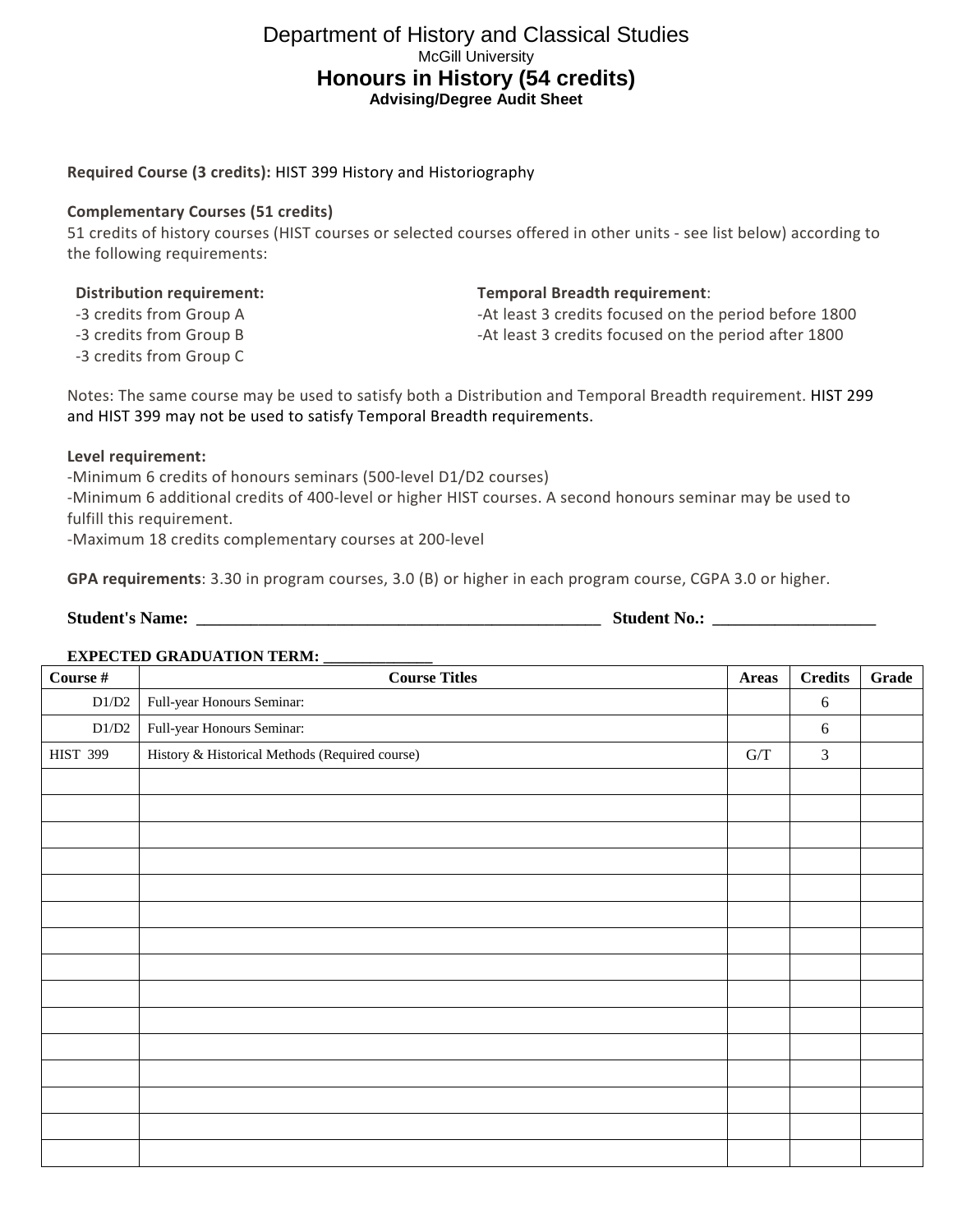# Department of History and Classical Studies McGill University **Honours in History (54 credits) Advising/Degree Audit Sheet**

# **Required Course (3 credits):** [HIST 399 History and Historiography](https://mcgill.ca/study/2019-2020/courses/hist-399)

# **Complementary Courses (51 credits)**

51 credits of history courses (HIST courses or selected courses offered in other units - see list below) according to the following requirements:

-3 credits from Group A

-3 credits from Group B

-3 credits from Group C

**Temporal Breadth requirement**:

-At least 3 credits focused on the period before 1800 -At least 3 credits focused on the period after 1800

Notes: The same course may be used to satisfy both a Distribution and Temporal Breadth requirement. [HIST 299](https://mcgill.ca/study/2019-2020/courses/hist-299) and [HIST 399](https://mcgill.ca/study/2019-2020/courses/hist-399) may not be used to satisfy Temporal Breadth requirements.

### **Level requirement:**

-Minimum 6 credits of honours seminars (500-level D1/D2 courses) -Minimum 6 additional credits of 400-level or higher HIST courses. A second honours seminar may be used to fulfill this requirement.

-Maximum 18 credits complementary courses at 200-level

**GPA requirements**: 3.30 in program courses, 3.0 (B) or higher in each program course, CGPA 3.0 or higher.

| <b>Student's Name:</b> |  | Student<br>`N0. |  |
|------------------------|--|-----------------|--|
|------------------------|--|-----------------|--|

#### **EXPECTED GRADUATION TERM: \_\_\_\_\_\_\_\_\_\_\_\_\_\_**

| Course #        | <b>Course Titles</b>                           |                                                          | <b>Credits</b> | Grade |
|-----------------|------------------------------------------------|----------------------------------------------------------|----------------|-------|
| $\rm D1/D2$     | Full-year Honours Seminar:                     |                                                          | 6              |       |
| $\rm D1/D2$     | Full-year Honours Seminar:                     |                                                          | 6              |       |
| <b>HIST 399</b> | History & Historical Methods (Required course) | $\ensuremath{\mathrm{G}}\xspace/\ensuremath{\mathrm{T}}$ | $\mathfrak{Z}$ |       |
|                 |                                                |                                                          |                |       |
|                 |                                                |                                                          |                |       |
|                 |                                                |                                                          |                |       |
|                 |                                                |                                                          |                |       |
|                 |                                                |                                                          |                |       |
|                 |                                                |                                                          |                |       |
|                 |                                                |                                                          |                |       |
|                 |                                                |                                                          |                |       |
|                 |                                                |                                                          |                |       |
|                 |                                                |                                                          |                |       |
|                 |                                                |                                                          |                |       |
|                 |                                                |                                                          |                |       |
|                 |                                                |                                                          |                |       |
|                 |                                                |                                                          |                |       |
|                 |                                                |                                                          |                |       |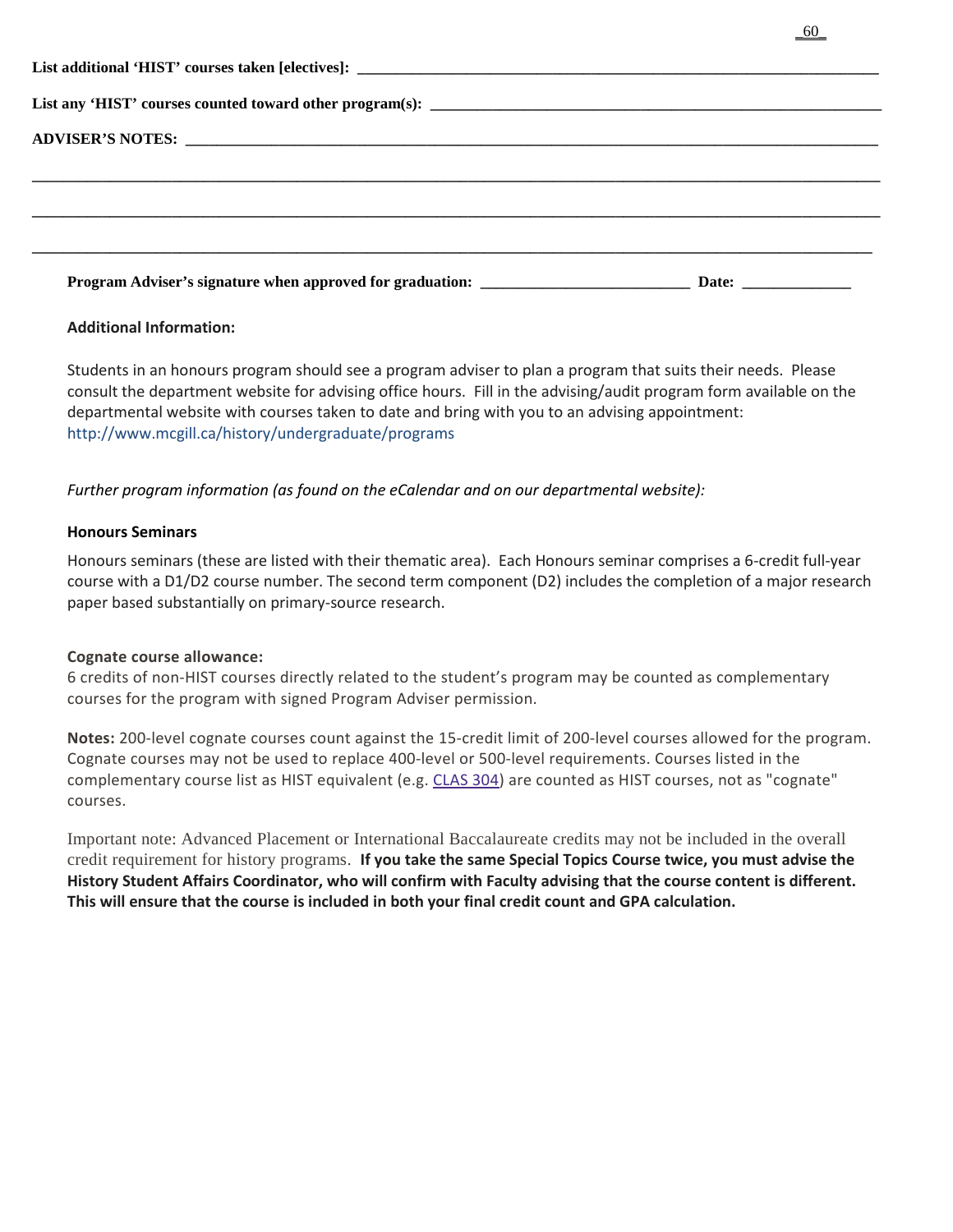| Program Adviser's signature when approved for graduation: ______________________<br>Date: the contract of the contract of the contract of the contract of the contract of the contract of the contract of the contract of the contract of the contract of the contract of the contract of the contract of the cont |  |  |  |  |
|--------------------------------------------------------------------------------------------------------------------------------------------------------------------------------------------------------------------------------------------------------------------------------------------------------------------|--|--|--|--|

\_60\_

# **Additional Information:**

Students in an honours program should see a program adviser to plan a program that suits their needs. Please consult the department website for advising office hours. Fill in the advising/audit program form available on the departmental website with courses taken to date and bring with you to an advising appointment: http://www.mcgill.ca/history/undergraduate/programs

*Further program information (as found on the eCalendar and on our departmental website):*

### **Honours Seminars**

Honours seminars (these are listed with their thematic area). Each Honours seminar comprises a 6-credit full-year course with a D1/D2 course number. The second term component (D2) includes the completion of a major research paper based substantially on primary-source research.

# **Cognate course allowance:**

6 credits of non-HIST courses directly related to the student's program may be counted as complementary courses for the program with signed Program Adviser permission.

**Notes:** 200-level cognate courses count against the 15-credit limit of 200-level courses allowed for the program. Cognate courses may not be used to replace 400-level or 500-level requirements. Courses listed in the complementary course list as HIST equivalent (e.g. [CLAS 304\)](https://mcgill.ca/study/2019-2020/courses/clas-304) are counted as HIST courses, not as "cognate" courses.

Important note: Advanced Placement or International Baccalaureate credits may not be included in the overall credit requirement for history programs. **If you take the same Special Topics Course twice, you must advise the History Student Affairs Coordinator, who will confirm with Faculty advising that the course content is different. This will ensure that the course is included in both your final credit count and GPA calculation.**